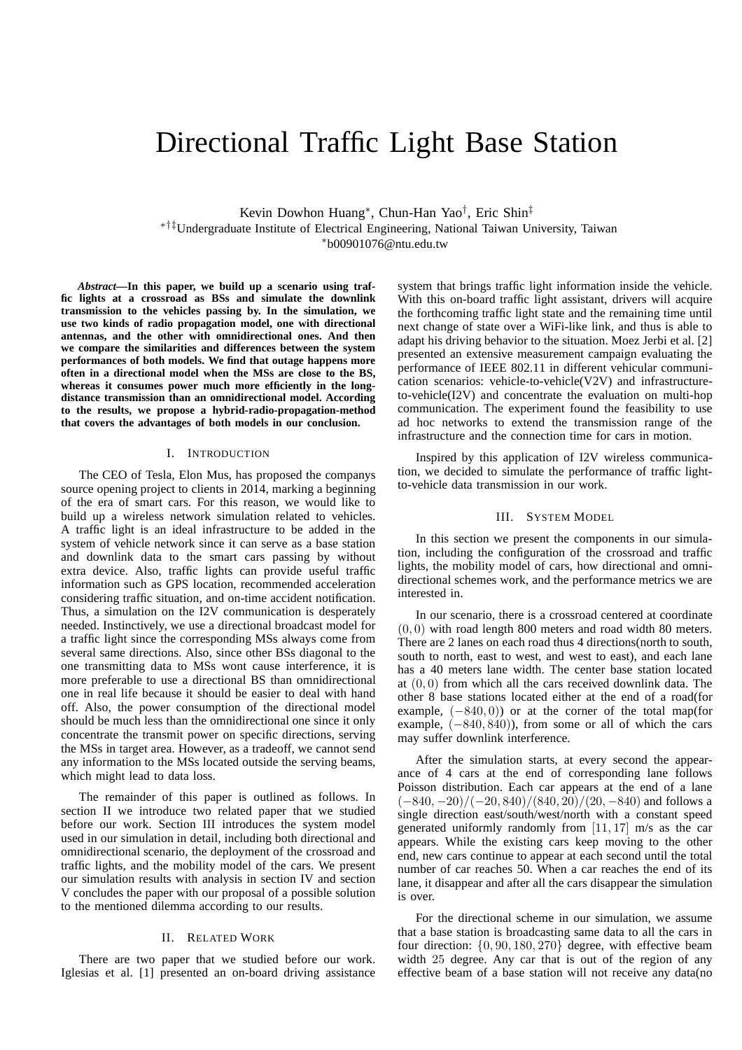# Directional Traffic Light Base Station

Kevin Dowhon Huang<sup>∗</sup> , Chun-Han Yao† , Eric Shin‡ ∗†‡Undergraduate Institute of Electrical Engineering, National Taiwan University, Taiwan <sup>∗</sup>b00901076@ntu.edu.tw

*Abstract***—In this paper, we build up a scenario using traffic lights at a crossroad as BSs and simulate the downlink transmission to the vehicles passing by. In the simulation, we use two kinds of radio propagation model, one with directional antennas, and the other with omnidirectional ones. And then we compare the similarities and differences between the system performances of both models. We find that outage happens more often in a directional model when the MSs are close to the BS, whereas it consumes power much more efficiently in the longdistance transmission than an omnidirectional model. According to the results, we propose a hybrid-radio-propagation-method that covers the advantages of both models in our conclusion.**

### I. INTRODUCTION

The CEO of Tesla, Elon Mus, has proposed the companys source opening project to clients in 2014, marking a beginning of the era of smart cars. For this reason, we would like to build up a wireless network simulation related to vehicles. A traffic light is an ideal infrastructure to be added in the system of vehicle network since it can serve as a base station and downlink data to the smart cars passing by without extra device. Also, traffic lights can provide useful traffic information such as GPS location, recommended acceleration considering traffic situation, and on-time accident notification. Thus, a simulation on the I2V communication is desperately needed. Instinctively, we use a directional broadcast model for a traffic light since the corresponding MSs always come from several same directions. Also, since other BSs diagonal to the one transmitting data to MSs wont cause interference, it is more preferable to use a directional BS than omnidirectional one in real life because it should be easier to deal with hand off. Also, the power consumption of the directional model should be much less than the omnidirectional one since it only concentrate the transmit power on specific directions, serving the MSs in target area. However, as a tradeoff, we cannot send any information to the MSs located outside the serving beams, which might lead to data loss.

The remainder of this paper is outlined as follows. In section II we introduce two related paper that we studied before our work. Section III introduces the system model used in our simulation in detail, including both directional and omnidirectional scenario, the deployment of the crossroad and traffic lights, and the mobility model of the cars. We present our simulation results with analysis in section IV and section V concludes the paper with our proposal of a possible solution to the mentioned dilemma according to our results.

## II. RELATED WORK

There are two paper that we studied before our work. Iglesias et al. [1] presented an on-board driving assistance

system that brings traffic light information inside the vehicle. With this on-board traffic light assistant, drivers will acquire the forthcoming traffic light state and the remaining time until next change of state over a WiFi-like link, and thus is able to adapt his driving behavior to the situation. Moez Jerbi et al. [2] presented an extensive measurement campaign evaluating the performance of IEEE 802.11 in different vehicular communication scenarios: vehicle-to-vehicle(V2V) and infrastructureto-vehicle(I2V) and concentrate the evaluation on multi-hop communication. The experiment found the feasibility to use ad hoc networks to extend the transmission range of the infrastructure and the connection time for cars in motion.

Inspired by this application of I2V wireless communication, we decided to simulate the performance of traffic lightto-vehicle data transmission in our work.

## III. SYSTEM MODEL

In this section we present the components in our simulation, including the configuration of the crossroad and traffic lights, the mobility model of cars, how directional and omnidirectional schemes work, and the performance metrics we are interested in.

In our scenario, there is a crossroad centered at coordinate  $(0, 0)$  with road length 800 meters and road width 80 meters. There are 2 lanes on each road thus 4 directions(north to south, south to north, east to west, and west to east), and each lane has a 40 meters lane width. The center base station located at (0, 0) from which all the cars received downlink data. The other 8 base stations located either at the end of a road(for example,  $(-840, 0)$  or at the corner of the total map(for example,  $(-840, 840)$ , from some or all of which the cars may suffer downlink interference.

After the simulation starts, at every second the appearance of 4 cars at the end of corresponding lane follows Poisson distribution. Each car appears at the end of a lane  $(-840, -20)/(-20, 840)/(840, 20)/(20, -840)$  and follows a single direction east/south/west/north with a constant speed generated uniformly randomly from  $[11, 17]$  m/s as the car appears. While the existing cars keep moving to the other end, new cars continue to appear at each second until the total number of car reaches 50. When a car reaches the end of its lane, it disappear and after all the cars disappear the simulation is over.

For the directional scheme in our simulation, we assume that a base station is broadcasting same data to all the cars in four direction: {0, 90, 180, 270} degree, with effective beam width 25 degree. Any car that is out of the region of any effective beam of a base station will not receive any data(no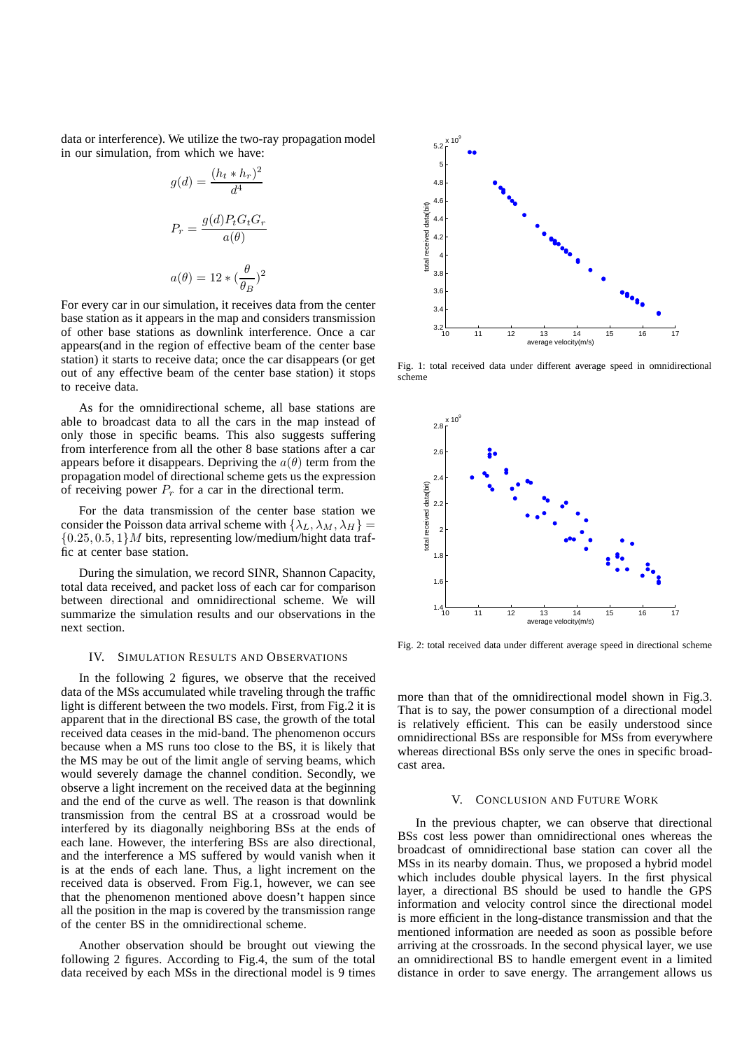data or interference). We utilize the two-ray propagation model in our simulation, from which we have:

$$
g(d) = \frac{(h_t * h_r)^2}{d^4}
$$

$$
P_r = \frac{g(d)P_t G_t G_r}{a(\theta)}
$$

$$
a(\theta) = 12 * (\frac{\theta}{\theta_B})^2
$$

For every car in our simulation, it receives data from the center base station as it appears in the map and considers transmission of other base stations as downlink interference. Once a car appears(and in the region of effective beam of the center base station) it starts to receive data; once the car disappears (or get out of any effective beam of the center base station) it stops to receive data.

As for the omnidirectional scheme, all base stations are able to broadcast data to all the cars in the map instead of only those in specific beams. This also suggests suffering from interference from all the other 8 base stations after a car appears before it disappears. Depriving the  $a(\theta)$  term from the propagation model of directional scheme gets us the expression of receiving power  $P_r$  for a car in the directional term.

For the data transmission of the center base station we consider the Poisson data arrival scheme with  $\{\lambda_L, \lambda_M, \lambda_H\}$  =  ${0.25, 0.5, 1}$  M bits, representing low/medium/hight data traffic at center base station.

During the simulation, we record SINR, Shannon Capacity, total data received, and packet loss of each car for comparison between directional and omnidirectional scheme. We will summarize the simulation results and our observations in the next section.

#### IV. SIMULATION RESULTS AND OBSERVATIONS

In the following 2 figures, we observe that the received data of the MSs accumulated while traveling through the traffic light is different between the two models. First, from Fig.2 it is apparent that in the directional BS case, the growth of the total received data ceases in the mid-band. The phenomenon occurs because when a MS runs too close to the BS, it is likely that the MS may be out of the limit angle of serving beams, which would severely damage the channel condition. Secondly, we observe a light increment on the received data at the beginning and the end of the curve as well. The reason is that downlink transmission from the central BS at a crossroad would be interfered by its diagonally neighboring BSs at the ends of each lane. However, the interfering BSs are also directional, and the interference a MS suffered by would vanish when it is at the ends of each lane. Thus, a light increment on the received data is observed. From Fig.1, however, we can see that the phenomenon mentioned above doesn't happen since all the position in the map is covered by the transmission range of the center BS in the omnidirectional scheme.

Another observation should be brought out viewing the following 2 figures. According to Fig.4, the sum of the total data received by each MSs in the directional model is 9 times



Fig. 1: total received data under different average speed in omnidirectional scheme



Fig. 2: total received data under different average speed in directional scheme

more than that of the omnidirectional model shown in Fig.3. That is to say, the power consumption of a directional model is relatively efficient. This can be easily understood since omnidirectional BSs are responsible for MSs from everywhere whereas directional BSs only serve the ones in specific broadcast area.

### V. CONCLUSION AND FUTURE WORK

In the previous chapter, we can observe that directional BSs cost less power than omnidirectional ones whereas the broadcast of omnidirectional base station can cover all the MSs in its nearby domain. Thus, we proposed a hybrid model which includes double physical layers. In the first physical layer, a directional BS should be used to handle the GPS information and velocity control since the directional model is more efficient in the long-distance transmission and that the mentioned information are needed as soon as possible before arriving at the crossroads. In the second physical layer, we use an omnidirectional BS to handle emergent event in a limited distance in order to save energy. The arrangement allows us